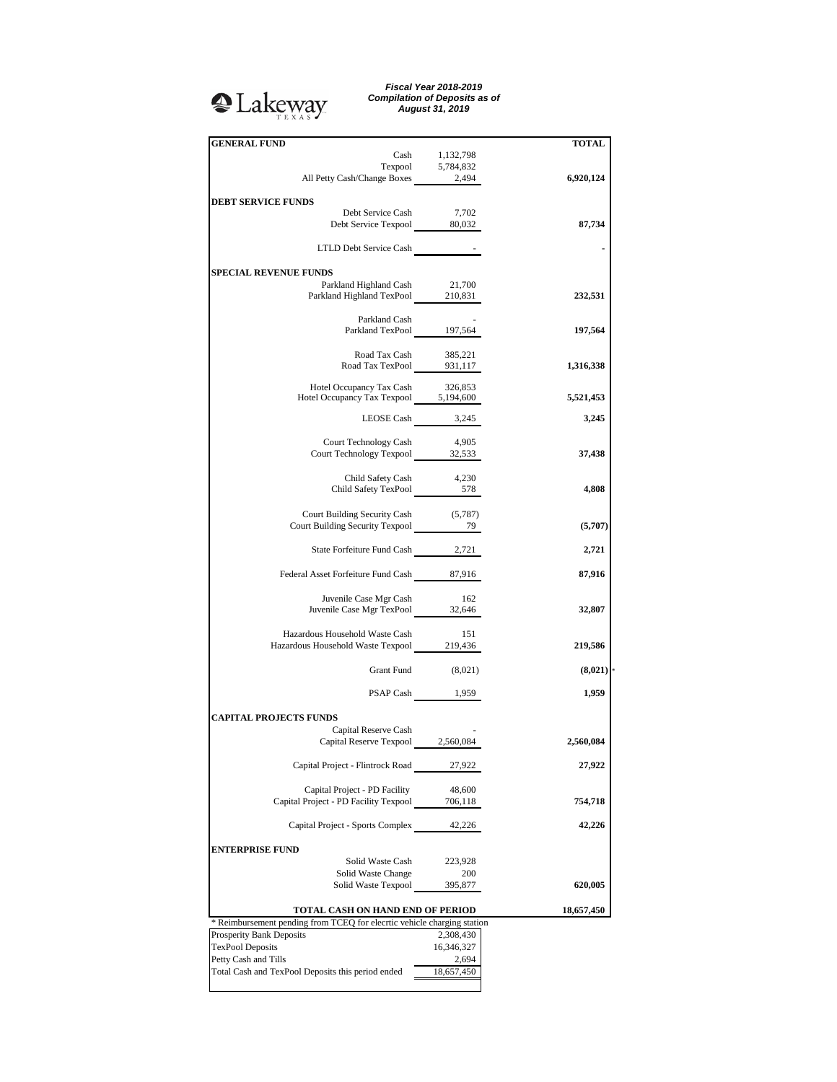## <sup>2</sup>Lakeway

*Fiscal Year 2018-2019 Compilation of Deposits as of August 31, 2019*

| <b>GENERAL FUND</b>                                                       |                    | <b>TOTAL</b> |
|---------------------------------------------------------------------------|--------------------|--------------|
|                                                                           | Cash 1,132,798     |              |
|                                                                           |                    |              |
| Texpool 5,784,832<br>All Petty Cash/Change Boxes 2,494                    |                    | 6,920,124    |
|                                                                           |                    |              |
| <b>DEBT SERVICE FUNDS</b>                                                 |                    |              |
| Debt Service Cash                                                         | 7,702              |              |
| Debt Service Texpool 80,032                                               |                    | 87,734       |
|                                                                           |                    |              |
|                                                                           |                    |              |
| LTLD Debt Service Cash -                                                  |                    |              |
|                                                                           |                    |              |
| <b>SPECIAL REVENUE FUNDS</b>                                              |                    |              |
| Parkland Highland Cash 21,700                                             |                    |              |
| Parkland Highland TexPool 210,831                                         |                    | 232,531      |
|                                                                           |                    |              |
| Parkland Cash                                                             |                    |              |
| Parkland TexPool 197,564                                                  |                    | 197,564      |
|                                                                           |                    |              |
| Road Tax Cash                                                             | 385,221            |              |
| Road Tax TexPool 931,117                                                  |                    | 1,316,338    |
|                                                                           |                    |              |
|                                                                           |                    |              |
| Hotel Occupancy Tax Cash 326,853<br>Hotel Occupancy Tax Texpool 5,194,600 |                    | 5,521,453    |
|                                                                           |                    |              |
|                                                                           | LEOSE Cash 3,245   | 3,245        |
|                                                                           |                    |              |
| Court Technology Cash 4,905                                               |                    |              |
| Court Technology Texpool 32,533                                           |                    | 37,438       |
|                                                                           |                    |              |
|                                                                           |                    |              |
| Child Safety Cash<br>Child Safety TexPool 578                             | 4,230              |              |
|                                                                           |                    | 4,808        |
|                                                                           |                    |              |
| Court Building Security Cash (5,787)                                      |                    |              |
| Court Building Security Texpool 79                                        |                    | (5,707)      |
|                                                                           |                    |              |
| State Forfeiture Fund Cash 2,721                                          |                    | 2,721        |
|                                                                           |                    |              |
| Federal Asset Forfeiture Fund Cash 87,916                                 |                    | 87,916       |
|                                                                           |                    |              |
| Juvenile Case Mgr Cash                                                    | - 162              |              |
|                                                                           |                    |              |
| Juvenile Case Mgr TexPool 32,646                                          |                    | 32,807       |
|                                                                           |                    |              |
| Hazardous Household Waste Cash                                            | - 151              |              |
| Hazardous Household Waste Texpool 219,436                                 |                    | 219,586      |
|                                                                           |                    |              |
|                                                                           | Grant Fund (8,021) | (8,021)      |
|                                                                           |                    |              |
|                                                                           | PSAP Cash 1,959    | 1,959        |
|                                                                           |                    |              |
| <b>CAPITAL PROJECTS FUNDS</b>                                             |                    |              |
| Capital Reserve Cash                                                      |                    |              |
| Capital Reserve Texpool 2,560,084                                         |                    | 2,560,084    |
|                                                                           |                    |              |
|                                                                           |                    | 27,922       |
| Capital Project - Flintrock Road                                          | 27,922             |              |
|                                                                           |                    |              |
| Capital Project - PD Facility                                             | 48,600             |              |
| Capital Project - PD Facility Texpool                                     | 706,118            | 754,718      |
|                                                                           |                    |              |
| Capital Project - Sports Complex                                          | 42,226             | 42,226       |
|                                                                           |                    |              |
| <b>ENTERPRISE FUND</b>                                                    |                    |              |
| Solid Waste Cash                                                          | 223,928            |              |
| Solid Waste Change                                                        | 200                |              |
| Solid Waste Texpool                                                       | 395,877            | 620,005      |
|                                                                           |                    |              |
|                                                                           |                    |              |
| TOTAL CASH ON HAND END OF PERIOD                                          |                    | 18,657,450   |
| * Reimbursement pending from TCEQ for elecrtic vehicle charging station   |                    |              |
| Prosperity Bank Deposits                                                  | 2,308,430          |              |
| <b>TexPool Deposits</b>                                                   | 16,346,327         |              |
| Petty Cash and Tills                                                      | 2,694              |              |
| Total Cash and TexPool Deposits this period ended                         | 18,657,450         |              |
|                                                                           |                    |              |
|                                                                           |                    |              |